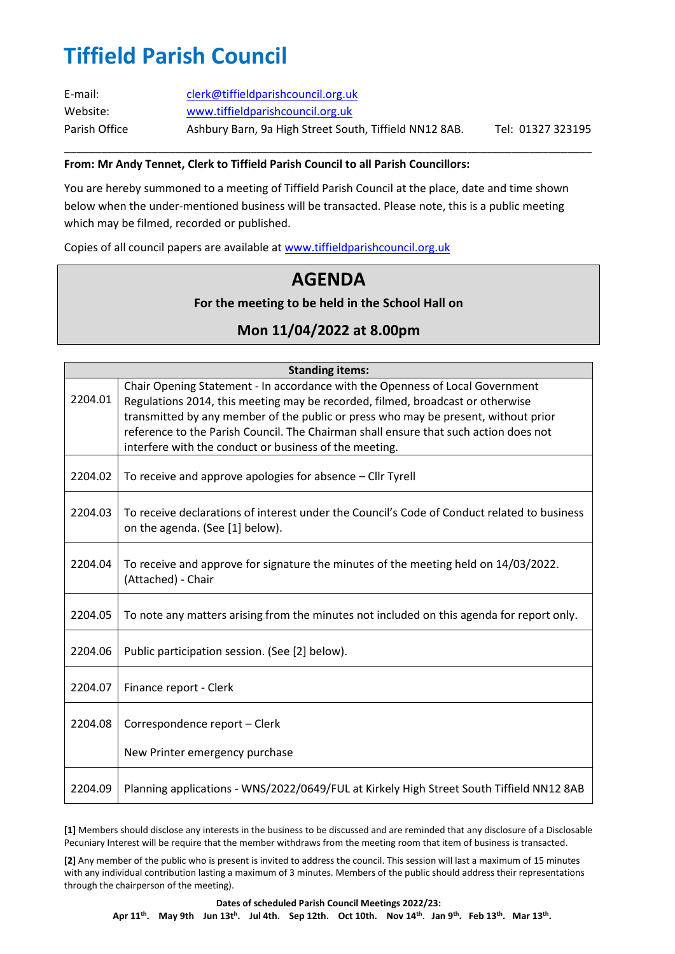# **Tiffield Parish Council**

| E-mail:       | clerk@tiffieldparishcouncil.org.uk                     |                   |
|---------------|--------------------------------------------------------|-------------------|
| Website:      | www.tiffieldparishcouncil.org.uk                       |                   |
| Parish Office | Ashbury Barn, 9a High Street South, Tiffield NN12 8AB. | Tel: 01327 323195 |

\_\_\_\_\_\_\_\_\_\_\_\_\_\_\_\_\_\_\_\_\_\_\_\_\_\_\_\_\_\_\_\_\_\_\_\_\_\_\_\_\_\_\_\_\_\_\_\_\_\_\_\_\_\_\_\_\_\_\_\_\_\_\_\_\_\_\_\_\_\_\_\_\_\_\_\_\_\_\_\_\_\_\_\_\_

#### **From: Mr Andy Tennet, Clerk to Tiffield Parish Council to all Parish Councillors:**

You are hereby summoned to a meeting of Tiffield Parish Council at the place, date and time shown below when the under-mentioned business will be transacted. Please note, this is a public meeting which may be filmed, recorded or published.

Copies of all council papers are available at [www.tiffieldparishcouncil.org.uk](http://www.tiffieldparishcouncil.org.uk/)

### **AGENDA**

#### **For the meeting to be held in the School Hall on**

### **Mon 11/04/2022 at 8.00pm**

| <b>Standing items:</b> |                                                                                                                                                                            |
|------------------------|----------------------------------------------------------------------------------------------------------------------------------------------------------------------------|
|                        | Chair Opening Statement - In accordance with the Openness of Local Government                                                                                              |
| 2204.01                | Regulations 2014, this meeting may be recorded, filmed, broadcast or otherwise                                                                                             |
|                        | transmitted by any member of the public or press who may be present, without prior<br>reference to the Parish Council. The Chairman shall ensure that such action does not |
|                        | interfere with the conduct or business of the meeting.                                                                                                                     |
|                        |                                                                                                                                                                            |
| 2204.02                | To receive and approve apologies for absence – Cllr Tyrell                                                                                                                 |
| 2204.03                | To receive declarations of interest under the Council's Code of Conduct related to business<br>on the agenda. (See [1] below).                                             |
| 2204.04                | To receive and approve for signature the minutes of the meeting held on 14/03/2022.<br>(Attached) - Chair                                                                  |
| 2204.05                | To note any matters arising from the minutes not included on this agenda for report only.                                                                                  |
| 2204.06                | Public participation session. (See [2] below).                                                                                                                             |
| 2204.07                | Finance report - Clerk                                                                                                                                                     |
| 2204.08                | Correspondence report - Clerk                                                                                                                                              |
|                        | New Printer emergency purchase                                                                                                                                             |
| 2204.09                | Planning applications - WNS/2022/0649/FUL at Kirkely High Street South Tiffield NN12 8AB                                                                                   |

**[1]** Members should disclose any interests in the business to be discussed and are reminded that any disclosure of a Disclosable Pecuniary Interest will be require that the member withdraws from the meeting room that item of business is transacted.

**[2]** Any member of the public who is present is invited to address the council. This session will last a maximum of 15 minutes with any individual contribution lasting a maximum of 3 minutes. Members of the public should address their representations through the chairperson of the meeting).